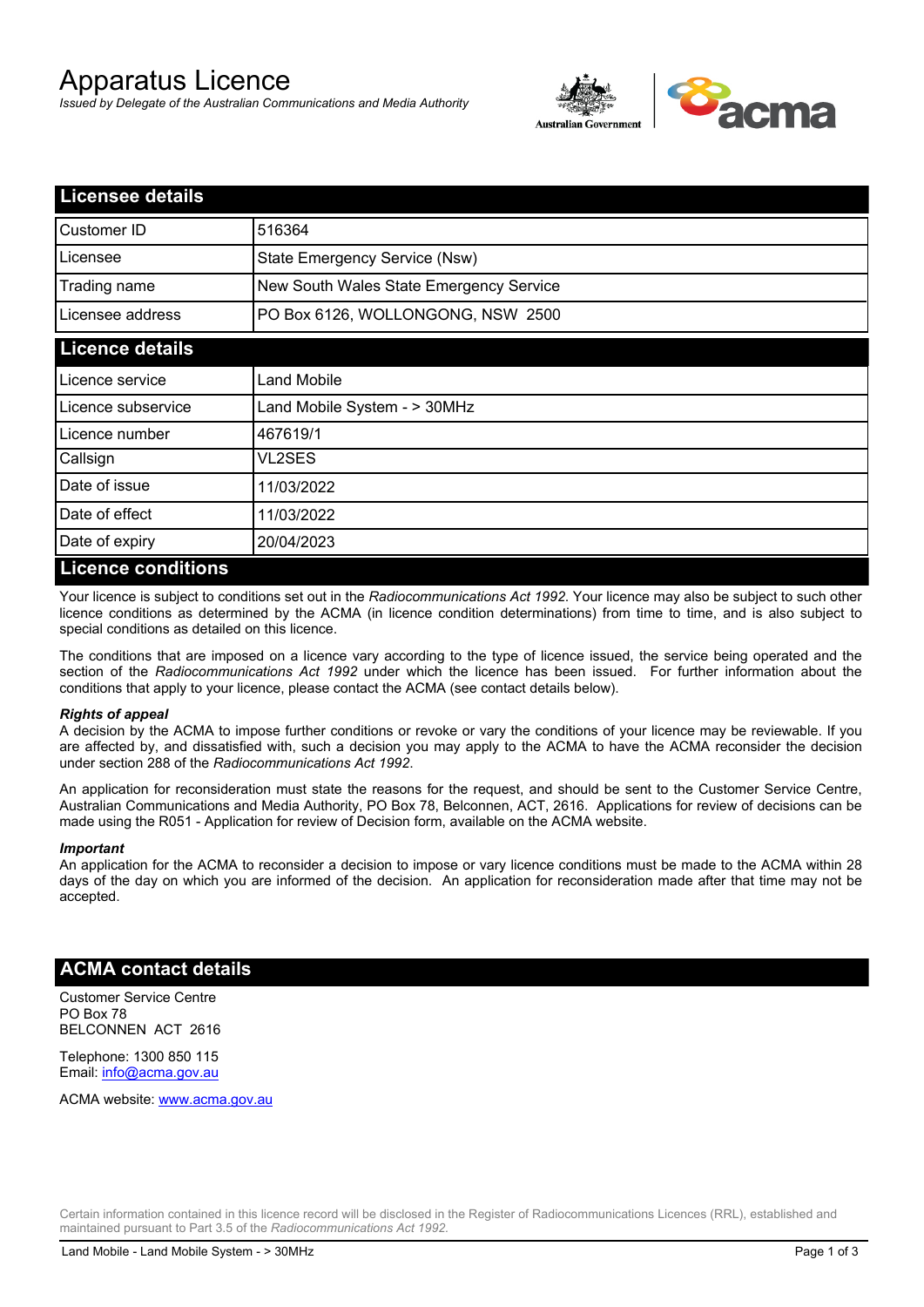# Apparatus Licence

*Issued by Delegate of the Australian Communications and Media Authority*



| <b>Licensee details</b> |                                         |  |
|-------------------------|-----------------------------------------|--|
| Customer ID             | 516364                                  |  |
| Licensee                | State Emergency Service (Nsw)           |  |
| Trading name            | New South Wales State Emergency Service |  |
| Licensee address        | PO Box 6126, WOLLONGONG, NSW 2500       |  |
| <b>Licence details</b>  |                                         |  |
| Licence service         | Land Mobile                             |  |
| Licence subservice      | Land Mobile System - > 30MHz            |  |
| l Licence number        | 467619/1                                |  |
| Callsign                | VL2SES                                  |  |
| Date of issue           | 11/03/2022                              |  |
| Date of effect          | 11/03/2022                              |  |
| Date of expiry          | 20/04/2023                              |  |
| Licance conditione      |                                         |  |

#### **Licence conditions**

Your licence is subject to conditions set out in the *Radiocommunications Act 1992*. Your licence may also be subject to such other licence conditions as determined by the ACMA (in licence condition determinations) from time to time, and is also subject to special conditions as detailed on this licence.

The conditions that are imposed on a licence vary according to the type of licence issued, the service being operated and the section of the *Radiocommunications Act 1992* under which the licence has been issued. For further information about the conditions that apply to your licence, please contact the ACMA (see contact details below).

#### *Rights of appeal*

A decision by the ACMA to impose further conditions or revoke or vary the conditions of your licence may be reviewable. If you are affected by, and dissatisfied with, such a decision you may apply to the ACMA to have the ACMA reconsider the decision under section 288 of the *Radiocommunications Act 1992*.

An application for reconsideration must state the reasons for the request, and should be sent to the Customer Service Centre, Australian Communications and Media Authority, PO Box 78, Belconnen, ACT, 2616. Applications for review of decisions can be made using the R051 - Application for review of Decision form, available on the ACMA website.

#### *Important*

An application for the ACMA to reconsider a decision to impose or vary licence conditions must be made to the ACMA within 28 days of the day on which you are informed of the decision. An application for reconsideration made after that time may not be accepted.

#### **ACMA contact details**

Customer Service Centre PO Box 78 BELCONNEN ACT 2616

Telephone: 1300 850 115 Email: info@acma.gov.au

ACMA website: www.acma.gov.au

Certain information contained in this licence record will be disclosed in the Register of Radiocommunications Licences (RRL), established and maintained pursuant to Part 3.5 of the *Radiocommunications Act 1992.*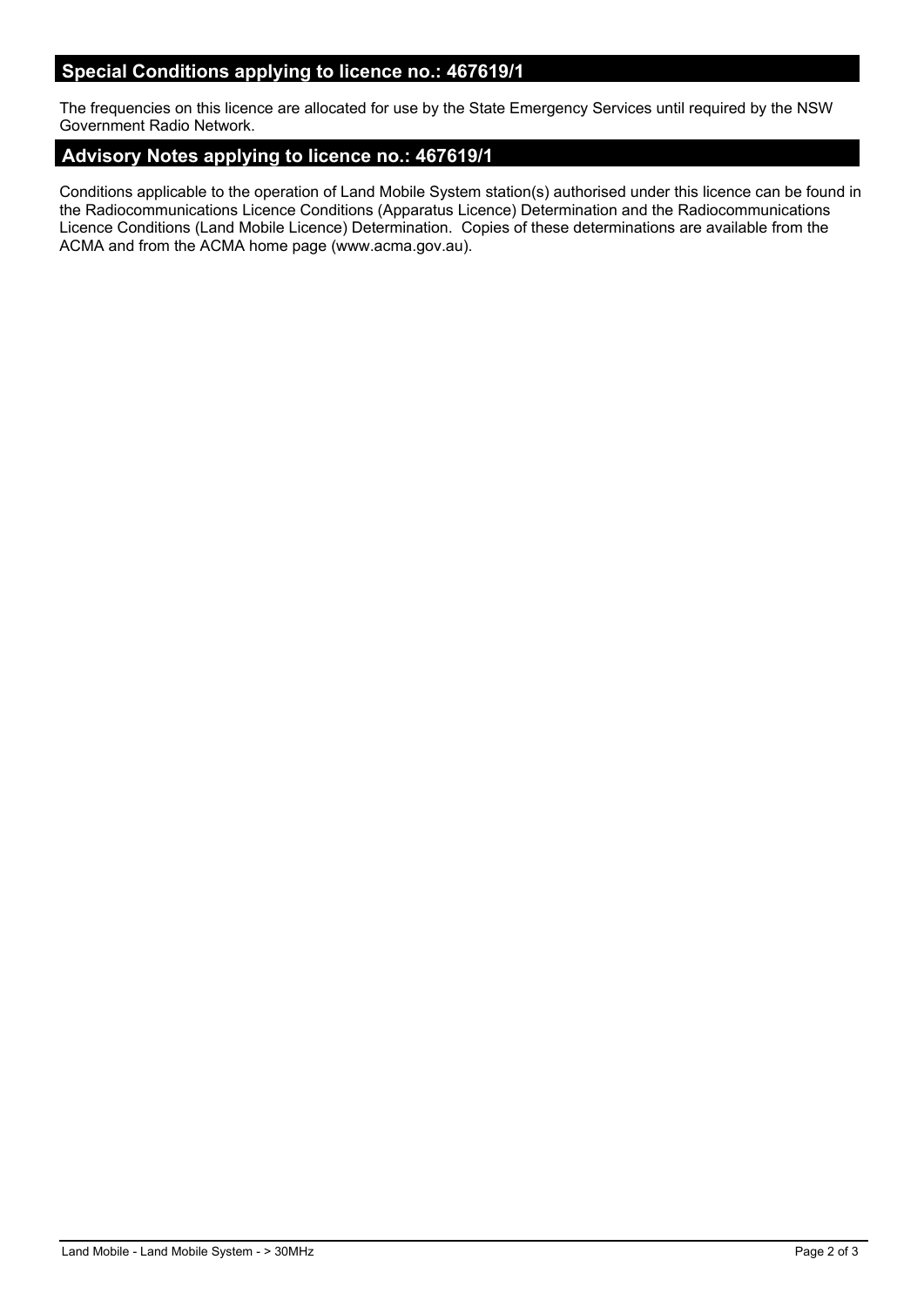## **Special Conditions applying to licence no.: 467619/1**

The frequencies on this licence are allocated for use by the State Emergency Services until required by the NSW Government Radio Network.

### **Advisory Notes applying to licence no.: 467619/1**

Conditions applicable to the operation of Land Mobile System station(s) authorised under this licence can be found in the Radiocommunications Licence Conditions (Apparatus Licence) Determination and the Radiocommunications Licence Conditions (Land Mobile Licence) Determination. Copies of these determinations are available from the ACMA and from the ACMA home page (www.acma.gov.au).